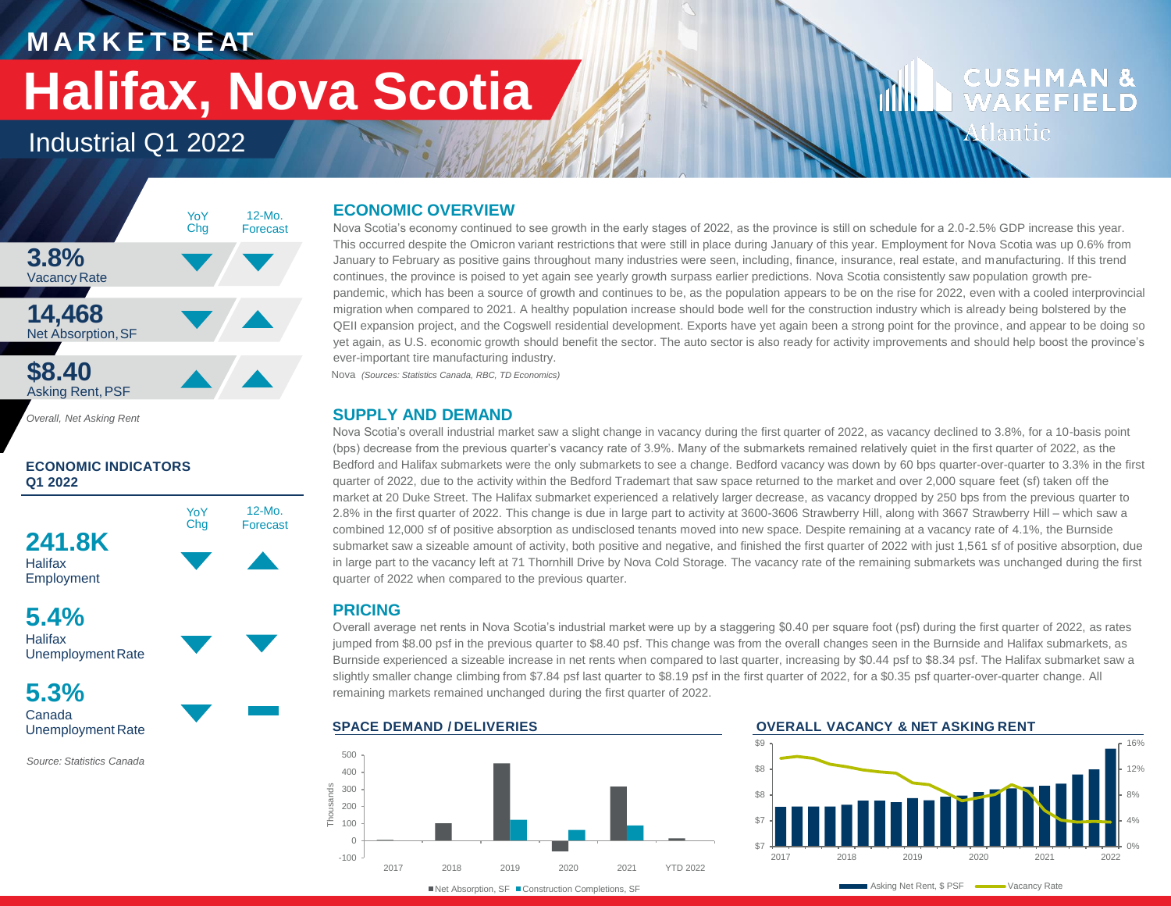# **M A R K E T B E AT Halifax, Nova Scotia**

### Industrial Q1 2022



*Overall, Net Asking Rent*

### **ECONOMIC INDICATORS Q1 2022**







**5.3%** Canada Unemployment Rate

*Source: Statistics Canada*

### **ECONOMIC OVERVIEW**

Nova Scotia's economy continued to see growth in the early stages of 2022, as the province is still on schedule for a 2.0-2.5% GDP increase this year. This occurred despite the Omicron variant restrictions that were still in place during January of this year. Employment for Nova Scotia was up 0.6% from January to February as positive gains throughout many industries were seen, including, finance, insurance, real estate, and manufacturing. If this trend continues, the province is poised to yet again see yearly growth surpass earlier predictions. Nova Scotia consistently saw population growth prepandemic, which has been a source of growth and continues to be, as the population appears to be on the rise for 2022, even with a cooled interprovincial migration when compared to 2021. A healthy population increase should bode well for the construction industry which is already being bolstered by the QEII expansion project, and the Cogswell residential development. Exports have yet again been a strong point for the province, and appear to be doing so yet again, as U.S. economic growth should benefit the sector. The auto sector is also ready for activity improvements and should help boost the province's ever-important tire manufacturing industry. Nova *(Sources: Statistics Canada, RBC, TD Economics)*

### **SUPPLY AND DEMAND**

Nova Scotia's overall industrial market saw a slight change in vacancy during the first quarter of 2022, as vacancy declined to 3.8%, for a 10-basis point (bps) decrease from the previous quarter's vacancy rate of 3.9%. Many of the submarkets remained relatively quiet in the first quarter of 2022, as the Bedford and Halifax submarkets were the only submarkets to see a change. Bedford vacancy was down by 60 bps quarter-over-quarter to 3.3% in the first quarter of 2022, due to the activity within the Bedford Trademart that saw space returned to the market and over 2,000 square feet (sf) taken off the market at 20 Duke Street. The Halifax submarket experienced a relatively larger decrease, as vacancy dropped by 250 bps from the previous quarter to 2.8% in the first quarter of 2022. This change is due in large part to activity at 3600-3606 Strawberry Hill, along with 3667 Strawberry Hill – which saw a combined 12,000 sf of positive absorption as undisclosed tenants moved into new space. Despite remaining at a vacancy rate of 4.1%, the Burnside submarket saw a sizeable amount of activity, both positive and negative, and finished the first quarter of 2022 with just 1,561 sf of positive absorption, due in large part to the vacancy left at 71 Thornhill Drive by Nova Cold Storage. The vacancy rate of the remaining submarkets was unchanged during the first quarter of 2022 when compared to the previous quarter.

### **PRICING**

Overall average net rents in Nova Scotia's industrial market were up by a staggering \$0.40 per square foot (psf) during the first quarter of 2022, as rates jumped from \$8.00 psf in the previous quarter to \$8.40 psf. This change was from the overall changes seen in the Burnside and Halifax submarkets, as Burnside experienced a sizeable increase in net rents when compared to last quarter, increasing by \$0.44 psf to \$8.34 psf. The Halifax submarket saw a slightly smaller change climbing from \$7.84 psf last quarter to \$8.19 psf in the first quarter of 2022, for a \$0.35 psf quarter-over-quarter change. All remaining markets remained unchanged during the first quarter of 2022.



■Net Absorption, SF ■ Construction Completions, SF

#### **SPACE DEMAND / DELIVERIES OVERALL VACANCY & NET ASKING RENT**

d ilin



**CUSHMAN &** 

**WAKEFIELD** 

Atlantic